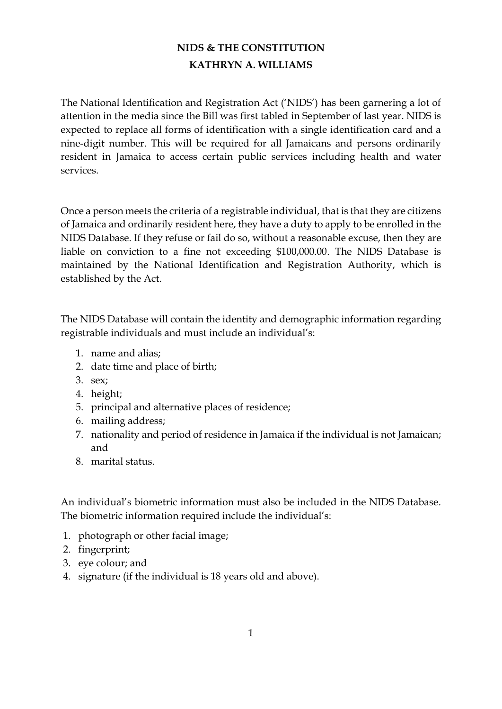## **NIDS & THE CONSTITUTION KATHRYN A. WILLIAMS**

The National Identification and Registration Act ('NIDS') has been garnering a lot of attention in the media since the Bill was first tabled in September of last year. NIDS is expected to replace all forms of identification with a single identification card and a nine-digit number. This will be required for all Jamaicans and persons ordinarily resident in Jamaica to access certain public services including health and water services.

Once a person meets the criteria of a registrable individual, that is that they are citizens of Jamaica and ordinarily resident here, they have a duty to apply to be enrolled in the NIDS Database. If they refuse or fail do so, without a reasonable excuse, then they are liable on conviction to a fine not exceeding \$100,000.00. The NIDS Database is maintained by the National Identification and Registration Authority, which is established by the Act.

The NIDS Database will contain the identity and demographic information regarding registrable individuals and must include an individual's:

- 1. name and alias;
- 2. date time and place of birth;
- 3. sex;
- 4. height;
- 5. principal and alternative places of residence;
- 6. mailing address;
- 7. nationality and period of residence in Jamaica if the individual is not Jamaican; and
- 8. marital status.

An individual's biometric information must also be included in the NIDS Database. The biometric information required include the individual's:

- 1. photograph or other facial image;
- 2. fingerprint;
- 3. eye colour; and
- 4. signature (if the individual is 18 years old and above).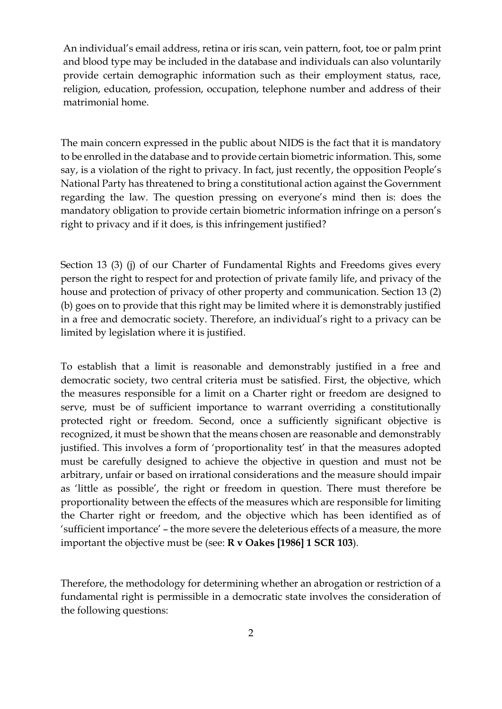An individual's email address, retina or iris scan, vein pattern, foot, toe or palm print and blood type may be included in the database and individuals can also voluntarily provide certain demographic information such as their employment status, race, religion, education, profession, occupation, telephone number and address of their matrimonial home.

The main concern expressed in the public about NIDS is the fact that it is mandatory to be enrolled in the database and to provide certain biometric information. This, some say, is a violation of the right to privacy. In fact, just recently, the opposition People's National Party has threatened to bring a constitutional action against the Government regarding the law. The question pressing on everyone's mind then is: does the mandatory obligation to provide certain biometric information infringe on a person's right to privacy and if it does, is this infringement justified?

Section 13 (3) (j) of our Charter of Fundamental Rights and Freedoms gives every person the right to respect for and protection of private family life, and privacy of the house and protection of privacy of other property and communication. Section 13 (2) (b) goes on to provide that this right may be limited where it is demonstrably justified in a free and democratic society. Therefore, an individual's right to a privacy can be limited by legislation where it is justified.

To establish that a limit is reasonable and demonstrably justified in a free and democratic society, two central criteria must be satisfied. First, the objective, which the measures responsible for a limit on a Charter right or freedom are designed to serve, must be of sufficient importance to warrant overriding a constitutionally protected right or freedom. Second, once a sufficiently significant objective is recognized, it must be shown that the means chosen are reasonable and demonstrably justified. This involves a form of 'proportionality test' in that the measures adopted must be carefully designed to achieve the objective in question and must not be arbitrary, unfair or based on irrational considerations and the measure should impair as 'little as possible', the right or freedom in question. There must therefore be proportionality between the effects of the measures which are responsible for limiting the Charter right or freedom, and the objective which has been identified as of 'sufficient importance' – the more severe the deleterious effects of a measure, the more important the objective must be (see: **R v Oakes [1986] 1 SCR 103**).

Therefore, the methodology for determining whether an abrogation or restriction of a fundamental right is permissible in a democratic state involves the consideration of the following questions: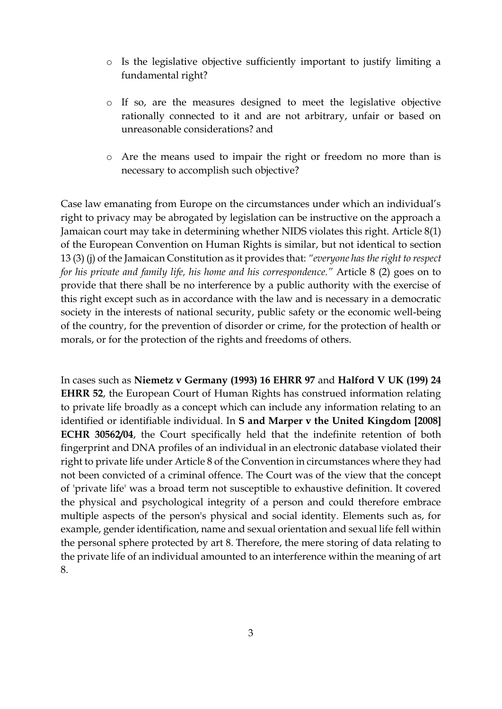- o Is the legislative objective sufficiently important to justify limiting a fundamental right?
- o If so, are the measures designed to meet the legislative objective rationally connected to it and are not arbitrary, unfair or based on unreasonable considerations? and
- o Are the means used to impair the right or freedom no more than is necessary to accomplish such objective?

Case law emanating from Europe on the circumstances under which an individual's right to privacy may be abrogated by legislation can be instructive on the approach a Jamaican court may take in determining whether NIDS violates this right. Article 8(1) of the European Convention on Human Rights is similar, but not identical to section 13 (3) (j) of the Jamaican Constitution as it provides that: *"everyone has the right to respect for his private and family life, his home and his correspondence."* Article 8 (2) goes on to provide that there shall be no interference by a public authority with the exercise of this right except such as in accordance with the law and is necessary in a democratic society in the interests of national security, public safety or the economic well-being of the country, for the prevention of disorder or crime, for the protection of health or morals, or for the protection of the rights and freedoms of others.

In cases such as **Niemetz v Germany (1993) 16 EHRR 97** and **Halford V UK (199) 24 EHRR 52**, the European Court of Human Rights has construed information relating to private life broadly as a concept which can include any information relating to an identified or identifiable individual. In **S and Marper v the United Kingdom [2008] ECHR 30562/04**, the Court specifically held that the indefinite retention of both fingerprint and DNA profiles of an individual in an electronic database violated their right to private life under Article 8 of the Convention in circumstances where they had not been convicted of a criminal offence. The Court was of the view that the concept of 'private life' was a broad term not susceptible to exhaustive definition. It covered the physical and psychological integrity of a person and could therefore embrace multiple aspects of the person's physical and social identity. Elements such as, for example, gender identification, name and sexual orientation and sexual life fell within the personal sphere protected by art 8. Therefore, the mere storing of data relating to the private life of an individual amounted to an interference within the meaning of art 8.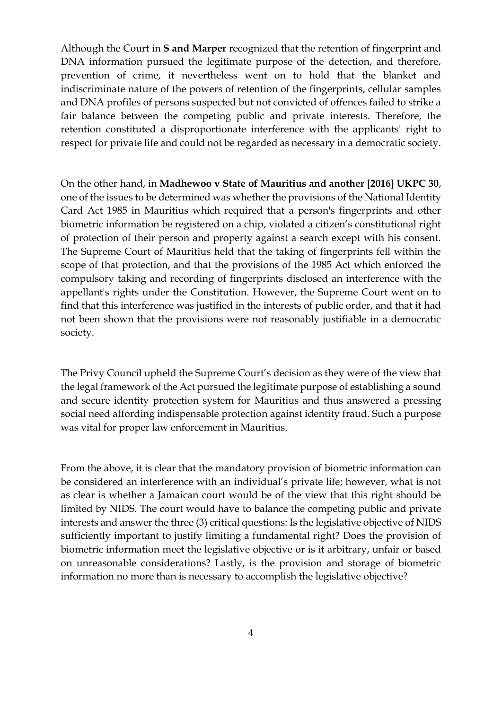Although the Court in **S and Marper** recognized that the retention of fingerprint and DNA information pursued the legitimate purpose of the detection, and therefore, prevention of crime, it nevertheless went on to hold that the blanket and indiscriminate nature of the powers of retention of the fingerprints, cellular samples and DNA profiles of persons suspected but not convicted of offences failed to strike a fair balance between the competing public and private interests. Therefore, the retention constituted a disproportionate interference with the applicants' right to respect for private life and could not be regarded as necessary in a democratic society.

On the other hand, in **Madhewoo v State of Mauritius and another [2016] UKPC 30**, one of the issues to be determined was whether the provisions of the National Identity Card Act 1985 in Mauritius which required that a person's fingerprints and other biometric information be registered on a chip, violated a citizen's constitutional right of protection of their person and property against a search except with his consent. The Supreme Court of Mauritius held that the taking of fingerprints fell within the scope of that protection, and that the provisions of the 1985 Act which enforced the compulsory taking and recording of fingerprints disclosed an interference with the appellant's rights under the Constitution. However, the Supreme Court went on to find that this interference was justified in the interests of public order, and that it had not been shown that the provisions were not reasonably justifiable in a democratic society.

The Privy Council upheld the Supreme Court's decision as they were of the view that the legal framework of the Act pursued the legitimate purpose of establishing a sound and secure identity protection system for Mauritius and thus answered a pressing social need affording indispensable protection against identity fraud. Such a purpose was vital for proper law enforcement in Mauritius.

From the above, it is clear that the mandatory provision of biometric information can be considered an interference with an individual's private life; however, what is not as clear is whether a Jamaican court would be of the view that this right should be limited by NIDS. The court would have to balance the competing public and private interests and answer the three (3) critical questions: Is the legislative objective of NIDS sufficiently important to justify limiting a fundamental right? Does the provision of biometric information meet the legislative objective or is it arbitrary, unfair or based on unreasonable considerations? Lastly, is the provision and storage of biometric information no more than is necessary to accomplish the legislative objective?